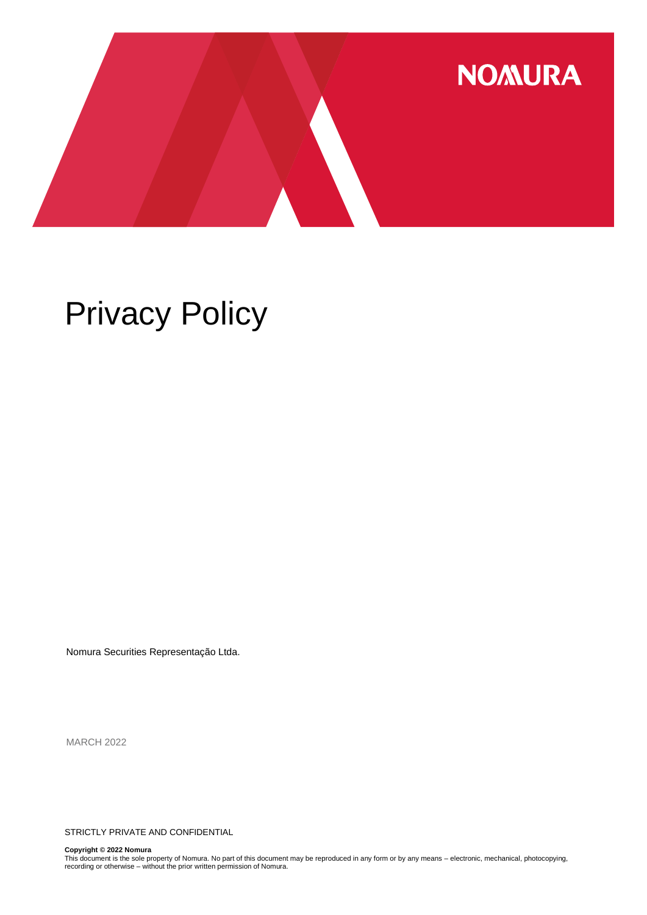

# Privacy Policy

Nomura Securities Representação Ltda.

MARCH 2022

STRICTLY PRIVATE AND CONFIDENTIAL

**Copyright © 2022 Nomura**<br>This document is the sole property of Nomura. No part of this document may be reproduced in any form or by any means – electronic, mechanical, photocopying,<br>recording or otherwise – without the pr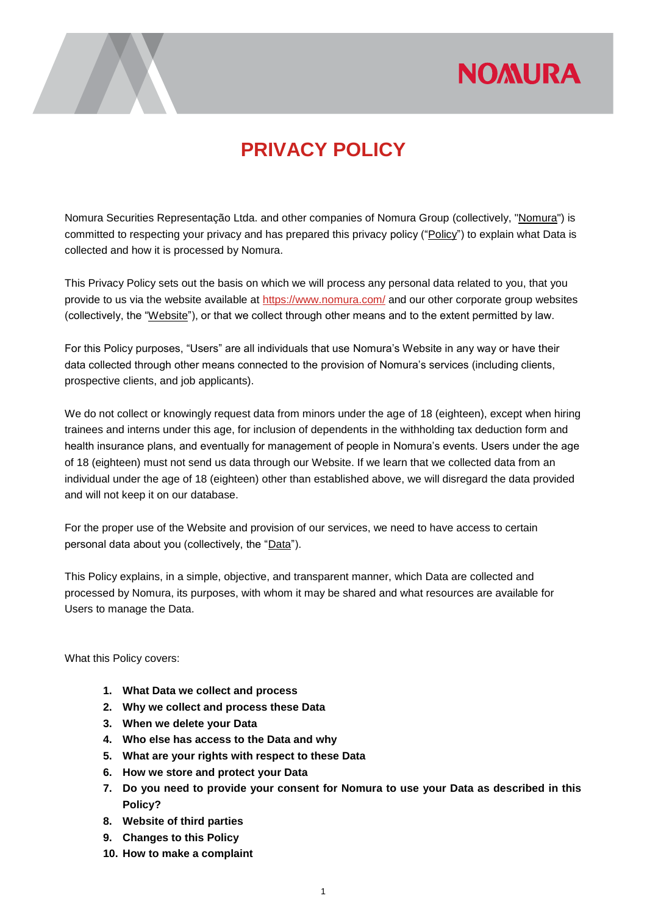## **NOMURA**



### **PRIVACY POLICY**

Nomura Securities Representação Ltda. and other companies of Nomura Group (collectively, "Nomura") is committed to respecting your privacy and has prepared this privacy policy ("Policy") to explain what Data is collected and how it is processed by Nomura.

This Privacy Policy sets out the basis on which we will process any personal data related to you, that you provide to us via the website available at<https://www.nomura.com/> and our other corporate group websites (collectively, the "Website"), or that we collect through other means and to the extent permitted by law.

For this Policy purposes, "Users" are all individuals that use Nomura's Website in any way or have their data collected through other means connected to the provision of Nomura's services (including clients, prospective clients, and job applicants).

We do not collect or knowingly request data from minors under the age of 18 (eighteen), except when hiring trainees and interns under this age, for inclusion of dependents in the withholding tax deduction form and health insurance plans, and eventually for management of people in Nomura's events. Users under the age of 18 (eighteen) must not send us data through our Website. If we learn that we collected data from an individual under the age of 18 (eighteen) other than established above, we will disregard the data provided and will not keep it on our database.

For the proper use of the Website and provision of our services, we need to have access to certain personal data about you (collectively, the "Data").

This Policy explains, in a simple, objective, and transparent manner, which Data are collected and processed by Nomura, its purposes, with whom it may be shared and what resources are available for Users to manage the Data.

What this Policy covers:

- **1. What Data we collect and process**
- **2. Why we collect and process these Data**
- **3. When we delete your Data**
- **4. Who else has access to the Data and why**
- **5. What are your rights with respect to these Data**
- **6. How we store and protect your Data**
- **7. Do you need to provide your consent for Nomura to use your Data as described in this Policy?**
- **8. Website of third parties**
- **9. Changes to this Policy**
- **10. How to make a complaint**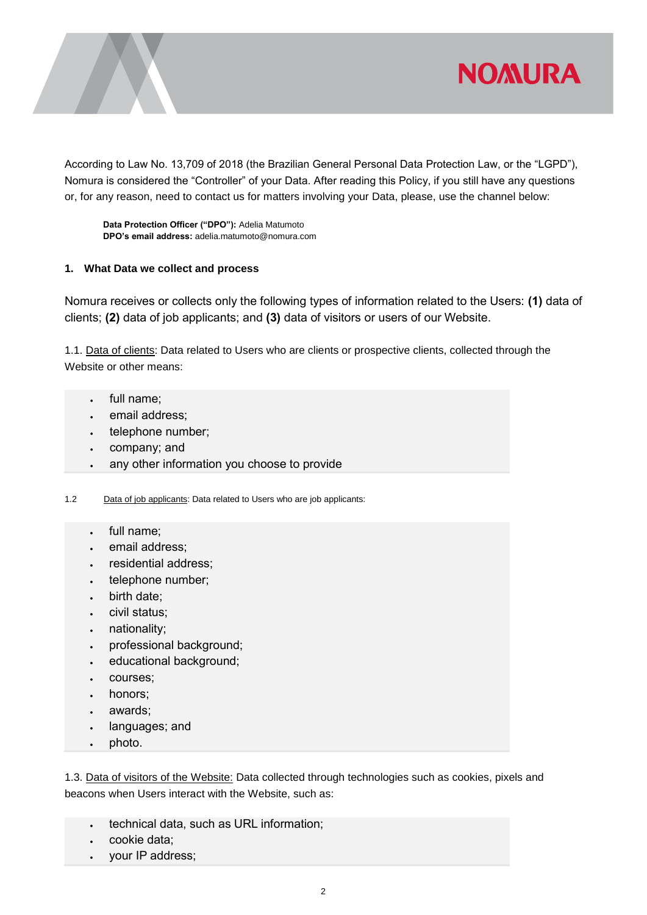

According to Law No. 13,709 of 2018 (the Brazilian General Personal Data Protection Law, or the "LGPD"), Nomura is considered the "Controller" of your Data. After reading this Policy, if you still have any questions or, for any reason, need to contact us for matters involving your Data, please, use the channel below:

**Data Protection Officer ("DPO"):** Adelia Matumoto **DPO's email address:** adelia.matumoto@nomura.com

### **1. What Data we collect and process**

Nomura receives or collects only the following types of information related to the Users: **(1)** data of clients; **(2)** data of job applicants; and **(3)** data of visitors or users of our Website.

1.1. Data of clients: Data related to Users who are clients or prospective clients, collected through the Website or other means:

- full name;
- email address;
- telephone number;
- company; and
- any other information you choose to provide

1.2 Data of job applicants: Data related to Users who are job applicants:

- full name;
- email address;
- residential address;
- telephone number;
- birth date;
- civil status;
- nationality;
- professional background;
- educational background;
- courses;
- honors;
- awards;
- languages; and
- photo.

1.3. Data of visitors of the Website: Data collected through technologies such as cookies, pixels and beacons when Users interact with the Website, such as:

- . technical data, such as URL information;
- cookie data;
- your IP address;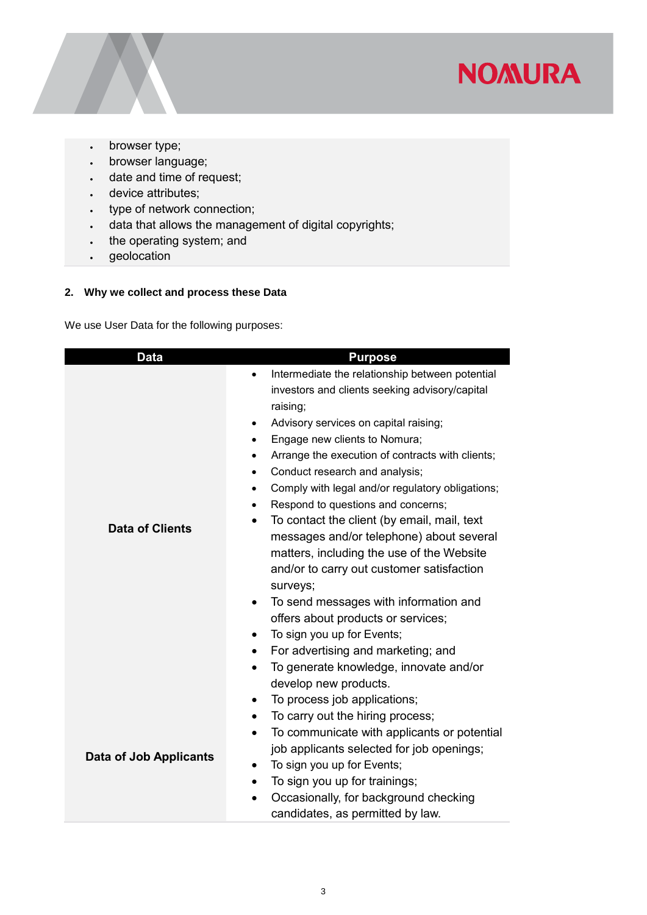

- browser type;
- browser language;
- date and time of request;
- device attributes;
- type of network connection;
- data that allows the management of digital copyrights;
- . the operating system; and
- · geolocation

### **2. Why we collect and process these Data**

We use User Data for the following purposes:

| <b>Data</b>                   | <b>Purpose</b>                                                                   |  |  |
|-------------------------------|----------------------------------------------------------------------------------|--|--|
| <b>Data of Clients</b>        | Intermediate the relationship between potential<br>$\bullet$                     |  |  |
|                               | investors and clients seeking advisory/capital                                   |  |  |
|                               | raising;                                                                         |  |  |
|                               | Advisory services on capital raising;<br>$\bullet$                               |  |  |
|                               | Engage new clients to Nomura;<br>$\bullet$                                       |  |  |
|                               | Arrange the execution of contracts with clients;<br>٠                            |  |  |
|                               | Conduct research and analysis;<br>$\bullet$                                      |  |  |
|                               | Comply with legal and/or regulatory obligations;<br>$\bullet$                    |  |  |
|                               | Respond to questions and concerns;<br>$\bullet$                                  |  |  |
|                               | To contact the client (by email, mail, text<br>٠                                 |  |  |
|                               | messages and/or telephone) about several                                         |  |  |
|                               | matters, including the use of the Website                                        |  |  |
|                               | and/or to carry out customer satisfaction                                        |  |  |
|                               | surveys;                                                                         |  |  |
|                               | To send messages with information and<br>٠<br>offers about products or services; |  |  |
|                               | To sign you up for Events;<br>$\bullet$                                          |  |  |
|                               | For advertising and marketing; and<br>$\bullet$                                  |  |  |
|                               | To generate knowledge, innovate and/or<br>$\bullet$                              |  |  |
|                               | develop new products.                                                            |  |  |
|                               | To process job applications;<br>$\bullet$                                        |  |  |
|                               | To carry out the hiring process;<br>$\bullet$                                    |  |  |
|                               | To communicate with applicants or potential<br>$\bullet$                         |  |  |
|                               | job applicants selected for job openings;                                        |  |  |
| <b>Data of Job Applicants</b> | To sign you up for Events;<br>٠                                                  |  |  |
|                               | To sign you up for trainings;<br>$\bullet$                                       |  |  |
|                               | Occasionally, for background checking<br>$\bullet$                               |  |  |
|                               | candidates, as permitted by law.                                                 |  |  |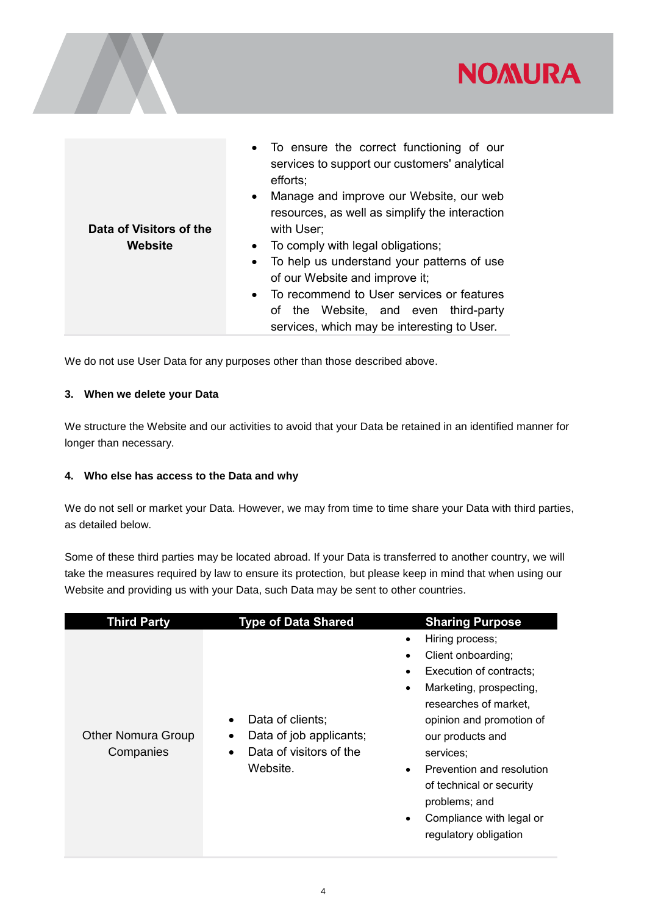

| Data of Visitors of the<br>Website | • To ensure the correct functioning of our<br>services to support our customers' analytical<br>efforts:<br>Manage and improve our Website, our web<br>$\bullet$<br>resources, as well as simplify the interaction<br>with User;<br>To comply with legal obligations;<br>$\bullet$<br>To help us understand your patterns of use<br>$\bullet$<br>of our Website and improve it;<br>To recommend to User services or features<br>$\bullet$<br>of the Website, and even third-party |
|------------------------------------|----------------------------------------------------------------------------------------------------------------------------------------------------------------------------------------------------------------------------------------------------------------------------------------------------------------------------------------------------------------------------------------------------------------------------------------------------------------------------------|
|------------------------------------|----------------------------------------------------------------------------------------------------------------------------------------------------------------------------------------------------------------------------------------------------------------------------------------------------------------------------------------------------------------------------------------------------------------------------------------------------------------------------------|

We do not use User Data for any purposes other than those described above.

#### **3. When we delete your Data**

We structure the Website and our activities to avoid that your Data be retained in an identified manner for longer than necessary.

#### **4. Who else has access to the Data and why**

We do not sell or market your Data. However, we may from time to time share your Data with third parties, as detailed below.

Some of these third parties may be located abroad. If your Data is transferred to another country, we will take the measures required by law to ensure its protection, but please keep in mind that when using our Website and providing us with your Data, such Data may be sent to other countries.

| <b>Third Party</b>                     | <b>Type of Data Shared</b>                                                                                        | <b>Sharing Purpose</b>                                                                                                                                                                                                                                                                                           |
|----------------------------------------|-------------------------------------------------------------------------------------------------------------------|------------------------------------------------------------------------------------------------------------------------------------------------------------------------------------------------------------------------------------------------------------------------------------------------------------------|
| <b>Other Nomura Group</b><br>Companies | Data of clients;<br>$\bullet$<br>Data of job applicants;<br>٠<br>Data of visitors of the<br>$\bullet$<br>Website. | Hiring process;<br>Client onboarding;<br>Execution of contracts;<br>Marketing, prospecting,<br>researches of market,<br>opinion and promotion of<br>our products and<br>services;<br>Prevention and resolution<br>of technical or security<br>problems; and<br>Compliance with legal or<br>regulatory obligation |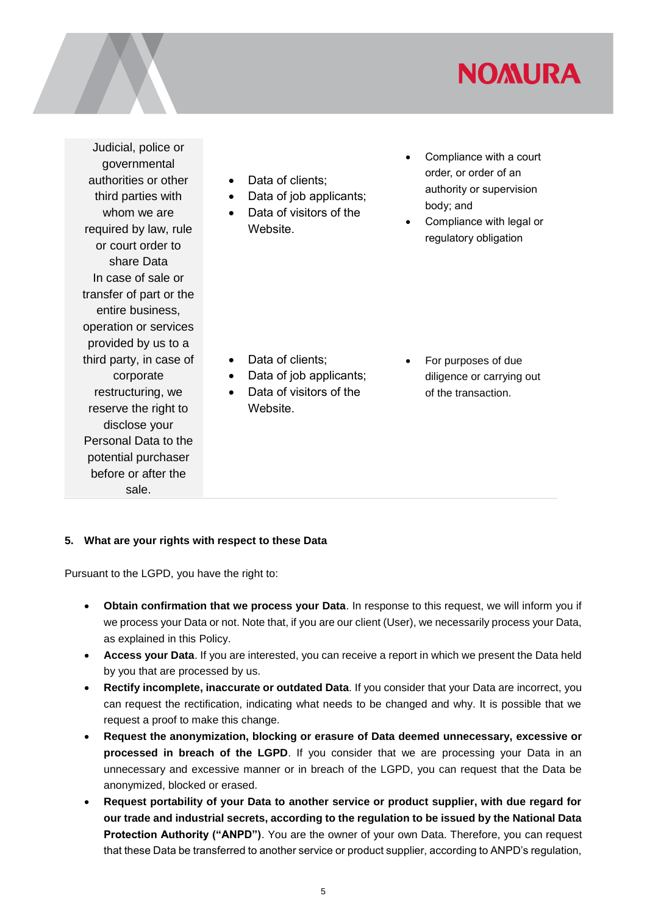## **NOMURA**

Judicial, police or governmental authorities or other third parties with whom we are required by law, rule or court order to share Data In case of sale or transfer of part or the entire business, operation or services provided by us to a third party, in case of corporate restructuring, we reserve the right to disclose your Personal Data to the potential purchaser before or after the sale.

- Data of clients:
- Data of job applicants;
- Data of visitors of the Website.
- Compliance with a court order, or order of an authority or supervision body; and
- Compliance with legal or regulatory obligation

- Data of clients:
- Data of job applicants:
- Data of visitors of the Website.
- For purposes of due diligence or carrying out of the transaction.

### **5. What are your rights with respect to these Data**

Pursuant to the LGPD, you have the right to:

- **Obtain confirmation that we process your Data**. In response to this request, we will inform you if we process your Data or not. Note that, if you are our client (User), we necessarily process your Data, as explained in this Policy.
- **Access your Data**. If you are interested, you can receive a report in which we present the Data held by you that are processed by us.
- **Rectify incomplete, inaccurate or outdated Data**. If you consider that your Data are incorrect, you can request the rectification, indicating what needs to be changed and why. It is possible that we request a proof to make this change.
- **Request the anonymization, blocking or erasure of Data deemed unnecessary, excessive or processed in breach of the LGPD**. If you consider that we are processing your Data in an unnecessary and excessive manner or in breach of the LGPD, you can request that the Data be anonymized, blocked or erased.
- **Request portability of your Data to another service or product supplier, with due regard for our trade and industrial secrets, according to the regulation to be issued by the National Data Protection Authority ("ANPD")**. You are the owner of your own Data. Therefore, you can request that these Data be transferred to another service or product supplier, according to ANPD's regulation,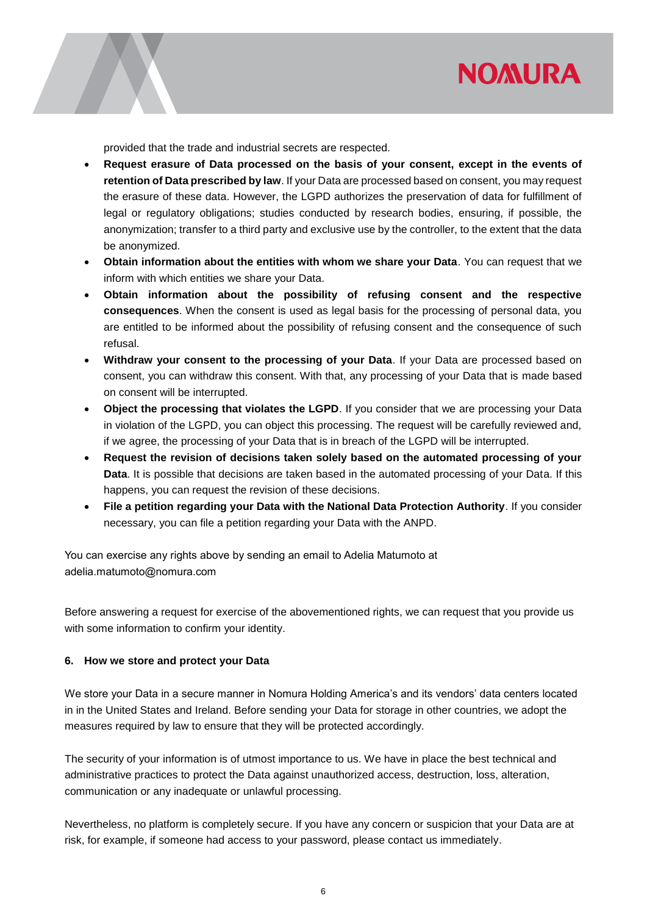

provided that the trade and industrial secrets are respected.

- **Request erasure of Data processed on the basis of your consent, except in the events of retention of Data prescribed by law**. If your Data are processed based on consent, you may request the erasure of these data. However, the LGPD authorizes the preservation of data for fulfillment of legal or regulatory obligations; studies conducted by research bodies, ensuring, if possible, the anonymization; transfer to a third party and exclusive use by the controller, to the extent that the data be anonymized.
- **Obtain information about the entities with whom we share your Data**. You can request that we inform with which entities we share your Data.
- **Obtain information about the possibility of refusing consent and the respective consequences**. When the consent is used as legal basis for the processing of personal data, you are entitled to be informed about the possibility of refusing consent and the consequence of such refusal.
- **Withdraw your consent to the processing of your Data**. If your Data are processed based on consent, you can withdraw this consent. With that, any processing of your Data that is made based on consent will be interrupted.
- **Object the processing that violates the LGPD**. If you consider that we are processing your Data in violation of the LGPD, you can object this processing. The request will be carefully reviewed and, if we agree, the processing of your Data that is in breach of the LGPD will be interrupted.
- **Request the revision of decisions taken solely based on the automated processing of your Data**. It is possible that decisions are taken based in the automated processing of your Data. If this happens, you can request the revision of these decisions.
- **File a petition regarding your Data with the National Data Protection Authority**. If you consider necessary, you can file a petition regarding your Data with the ANPD.

You can exercise any rights above by sending an email to Adelia Matumoto at adelia.matumoto@nomura.com

Before answering a request for exercise of the abovementioned rights, we can request that you provide us with some information to confirm your identity.

### **6. How we store and protect your Data**

We store your Data in a secure manner in Nomura Holding America's and its vendors' data centers located in in the United States and Ireland. Before sending your Data for storage in other countries, we adopt the measures required by law to ensure that they will be protected accordingly.

The security of your information is of utmost importance to us. We have in place the best technical and administrative practices to protect the Data against unauthorized access, destruction, loss, alteration, communication or any inadequate or unlawful processing.

Nevertheless, no platform is completely secure. If you have any concern or suspicion that your Data are at risk, for example, if someone had access to your password, please contact us immediately.